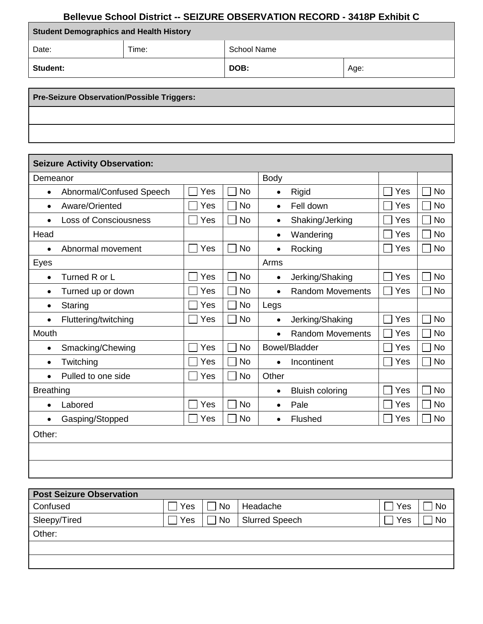## **Bellevue School District -- SEIZURE OBSERVATION RECORD - 3418P Exhibit C**

| <b>Student Demographics and Health History</b> |       |             |      |  |  |  |
|------------------------------------------------|-------|-------------|------|--|--|--|
| Date:                                          | Time: | School Name |      |  |  |  |
| <b>Student:</b>                                |       | DOB:        | Age: |  |  |  |

**Pre-Seizure Observation/Possible Triggers:** 

| <b>Seizure Activity Observation:</b>      |     |             |                                      |     |           |
|-------------------------------------------|-----|-------------|--------------------------------------|-----|-----------|
| Demeanor                                  |     | <b>Body</b> |                                      |     |           |
| Abnormal/Confused Speech<br>$\bullet$     | Yes | <b>No</b>   | Rigid<br>$\bullet$                   | Yes | <b>No</b> |
| Aware/Oriented<br>$\bullet$               | Yes | <b>No</b>   | Fell down<br>$\bullet$               | Yes | <b>No</b> |
| <b>Loss of Consciousness</b><br>$\bullet$ | Yes | <b>No</b>   | Shaking/Jerking<br>$\bullet$         | Yes | <b>No</b> |
| Head                                      |     |             | Wandering<br>$\bullet$               | Yes | <b>No</b> |
| Abnormal movement<br>$\bullet$            | Yes | <b>No</b>   | Rocking<br>$\bullet$                 | Yes | <b>No</b> |
| Eyes                                      |     |             | Arms                                 |     |           |
| Turned R or L<br>$\bullet$                | Yes | <b>No</b>   | Jerking/Shaking<br>$\bullet$         | Yes | <b>No</b> |
| Turned up or down<br>$\bullet$            | Yes | <b>No</b>   | <b>Random Movements</b><br>$\bullet$ | Yes | <b>No</b> |
| Staring<br>٠                              | Yes | <b>No</b>   | Legs                                 |     |           |
| Fluttering/twitching<br>$\bullet$         | Yes | <b>No</b>   | Jerking/Shaking<br>$\bullet$         | Yes | <b>No</b> |
| Mouth                                     |     |             | <b>Random Movements</b><br>$\bullet$ | Yes | <b>No</b> |
| Smacking/Chewing<br>$\bullet$             | Yes | <b>No</b>   | Bowel/Bladder                        | Yes | <b>No</b> |
| Twitching<br>$\bullet$                    | Yes | <b>No</b>   | Incontinent<br>$\bullet$             | Yes | <b>No</b> |
| Pulled to one side                        | Yes | <b>No</b>   | Other                                |     |           |
| <b>Breathing</b>                          |     |             | <b>Bluish coloring</b><br>$\bullet$  | Yes | <b>No</b> |
| Labored<br>$\bullet$                      | Yes | <b>No</b>   | Pale<br>$\bullet$                    | Yes | <b>No</b> |
| Gasping/Stopped<br>$\bullet$              | Yes | <b>No</b>   | Flushed<br>$\bullet$                 | Yes | <b>No</b> |
| Other:                                    |     |             |                                      |     |           |
|                                           |     |             |                                      |     |           |
|                                           |     |             |                                      |     |           |

| Yes | No        | Headache              | Yes | No        |
|-----|-----------|-----------------------|-----|-----------|
| Yes | <b>No</b> | <b>Slurred Speech</b> | Yes | <b>No</b> |
|     |           |                       |     |           |
|     |           |                       |     |           |
|     |           |                       |     |           |
|     |           |                       |     |           |